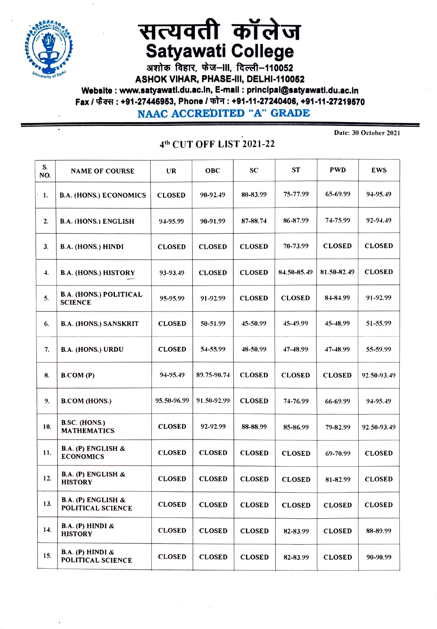

## सत्यवती कॉलेज Satyawati College<br>अशोक विहार, फेज-III, दिल्ली-110052

ASHOK VIHAR, PHASE-II, DELHI-110052 Website: www.satyawati.du.ac.in, E-mail: principal@satyawati.du.ac.in Fax / फैक्स : +91-27446953, Phone / फोन : +91-11-27240406, +91-11-27219570 NAAC ACCREDITED "A" GRADE

## 4th CUT OFF LIST 2021-22

Date: 30 October 2021

| S.<br>NO. | <b>NAME OF COURSE</b>                           | <b>UR</b>     | <b>OBC</b>    | SC            | <b>ST</b>     | <b>PWD</b>    | EWS           |
|-----------|-------------------------------------------------|---------------|---------------|---------------|---------------|---------------|---------------|
| 1.        | <b>B.A. (HONS.) ECONOMICS</b>                   | <b>CLOSED</b> | 90-92.49      | 80-83.99      | 75-77.99      | 65-69.99      | 94-95.49      |
| 2.        | <b>B.A. (HONS.) ENGLISH</b>                     | 94-95.99      | 90-91.99      | 87-88.74      | 86-87.99      | 74-75.99      | 92-94.49      |
| 3.        | <b>B.A. (HONS.) HINDI</b>                       | <b>CLOSED</b> | <b>CLOSED</b> | <b>CLOSED</b> | 70-73.99      | <b>CLOSED</b> | <b>CLOSED</b> |
| 4.        | <b>B.A. (HONS.) HISTORY</b>                     | 93-93.49      | <b>CLOSED</b> | <b>CLOSED</b> | 84.50-85.49   | 81.50-82.49   | <b>CLOSED</b> |
| 5.        | <b>B.A. (HONS.) POLITICAL</b><br><b>SCIENCE</b> | 95-95.99      | 91-92.99      | <b>CLOSED</b> | <b>CLOSED</b> | 84-84.99      | 91-92.99      |
| 6.        | <b>B.A. (HONS.) SANSKRIT</b>                    | <b>CLOSED</b> | 50-51.99      | 45-50.99      | 45-49.99      | 45-48.99      | 51-55.99      |
| 7.        | <b>B.A. (HONS.) URDU</b>                        | <b>CLOSED</b> | 54-55.99      | 48-50.99      | 47-48.99      | 47-48.99      | 55-59.99      |
| 8.        | B. COM(P)                                       | 94-95.49      | 89.75-90.74   | <b>CLOSED</b> | <b>CLOSED</b> | <b>CLOSED</b> | 92.50-93.49   |
| 9.        | <b>B.COM (HONS.)</b>                            | 95.50-96.99   | 91.50-92.99   | <b>CLOSED</b> | 74-76.99      | 66-69.99      | 94-95.49      |
| 10.       | <b>B.SC. (HONS.)</b><br><b>MATHEMATICS</b>      | <b>CLOSED</b> | 92-92.99      | 88-88.99      | 85-86.99      | 79-82.99      | 92.50-93.49   |
| 11.       | B.A. (P) ENGLISH &<br><b>ECONOMICS</b>          | <b>CLOSED</b> | <b>CLOSED</b> | <b>CLOSED</b> | <b>CLOSED</b> | 69-70.99      | <b>CLOSED</b> |
| 12.       | B.A. (P) ENGLISH &<br><b>HISTORY</b>            | <b>CLOSED</b> | <b>CLOSED</b> | <b>CLOSED</b> | <b>CLOSED</b> | 81-82.99      | <b>CLOSED</b> |
| 13.       | B.A. (P) ENGLISH &<br>POLITICAL SCIENCE         | <b>CLOSED</b> | <b>CLOSED</b> | <b>CLOSED</b> | <b>CLOSED</b> | <b>CLOSED</b> | <b>CLOSED</b> |
| 14.       | B.A. (P) HINDI &<br><b>HISTORY</b>              | <b>CLOSED</b> | <b>CLOSED</b> | <b>CLOSED</b> | 82-83.99      | <b>CLOSED</b> | 88-89.99      |
| 15.       | B.A. (P) HINDI &<br>POLITICAL SCIENCE           | <b>CLOSED</b> | <b>CLOSED</b> | <b>CLOSED</b> | 82-83.99      | <b>CLOSED</b> | 90-90.99      |